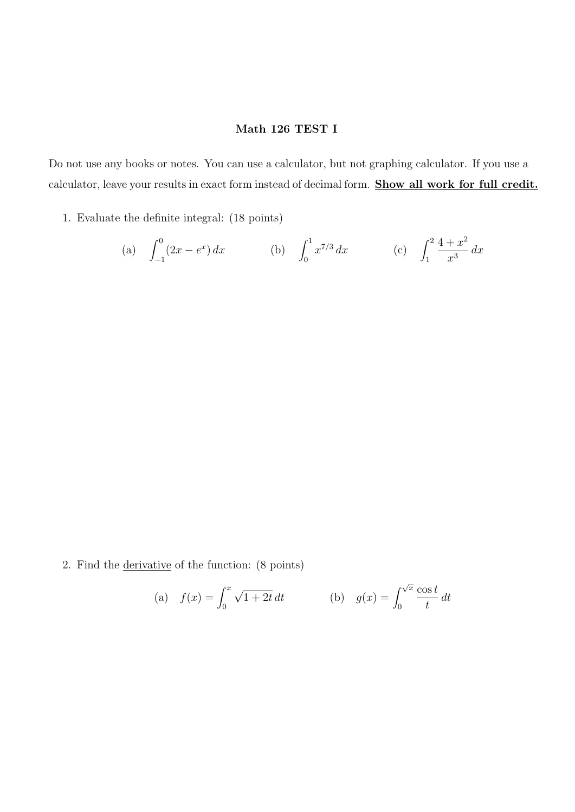## Math 126 TEST I

Do not use any books or notes. You can use a calculator, but not graphing calculator. If you use a calculator, leave your results in exact form instead of decimal form. Show all work for full credit.

1. Evaluate the definite integral: (18 points)

(a) 
$$
\int_{-1}^{0} (2x - e^x) dx
$$
 (b)  $\int_{0}^{1} x^{7/3} dx$  (c)  $\int_{1}^{2} \frac{4 + x^2}{x^3} dx$ 

2. Find the derivative of the function: (8 points)

(a) 
$$
f(x) = \int_0^x \sqrt{1+2t} dt
$$
 (b)  $g(x) = \int_0^{\sqrt{x}} \frac{\cos t}{t} dt$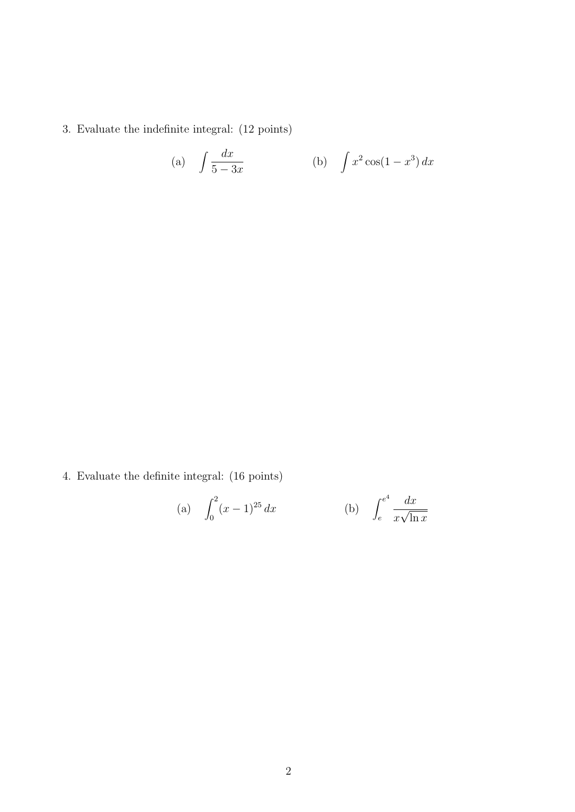3. Evaluate the indefinite integral: (12 points)

(a) 
$$
\int \frac{dx}{5-3x}
$$
 (b)  $\int x^2 \cos(1-x^3) dx$ 

4. Evaluate the definite integral: (16 points)

(a) 
$$
\int_0^2 (x-1)^{25} dx
$$
 (b)  $\int_e^{e^4} \frac{dx}{x\sqrt{\ln x}}$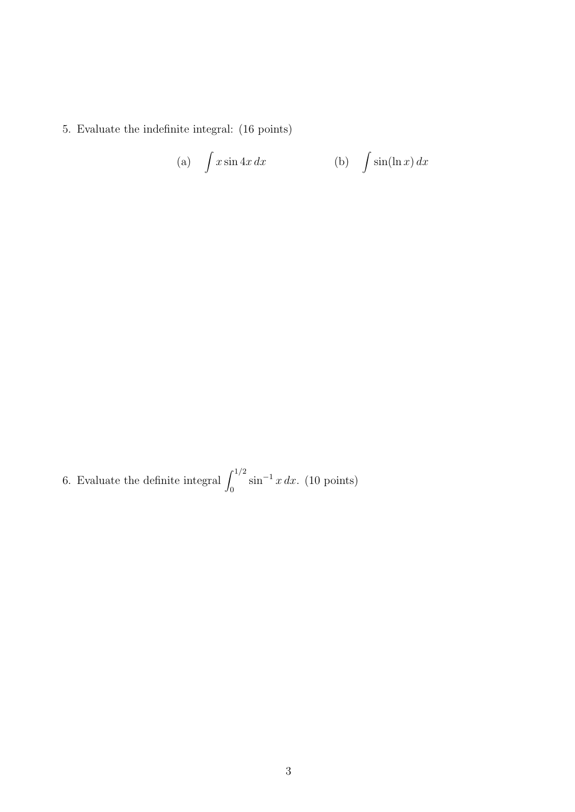5. Evaluate the indefinite integral: (16 points)

(a) 
$$
\int x \sin 4x \, dx
$$
 (b)  $\int \sin(\ln x) \, dx$ 

6. Evaluate the definite integral  $\int_0^{1/2} \sin^{-1} x \, dx$ . (10 points)